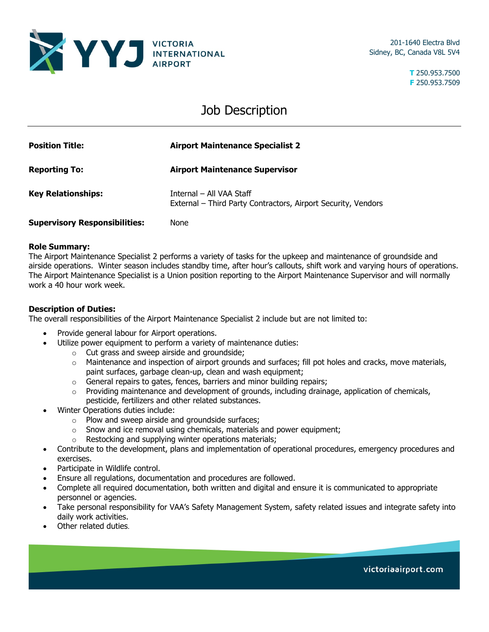

201-1640 Electra Blvd Sidney, BC, Canada V8L 5V4

> **T** 250.953.7500 **F** 250.953.7509

## Job Description

| <b>Position Title:</b>               | <b>Airport Maintenance Specialist 2</b>                                                   |
|--------------------------------------|-------------------------------------------------------------------------------------------|
| <b>Reporting To:</b>                 | <b>Airport Maintenance Supervisor</b>                                                     |
| <b>Key Relationships:</b>            | Internal - All VAA Staff<br>External - Third Party Contractors, Airport Security, Vendors |
| <b>Supervisory Responsibilities:</b> | None                                                                                      |

## **Role Summary:**

The Airport Maintenance Specialist 2 performs a variety of tasks for the upkeep and maintenance of groundside and airside operations. Winter season includes standby time, after hour's callouts, shift work and varying hours of operations. The Airport Maintenance Specialist is a Union position reporting to the Airport Maintenance Supervisor and will normally work a 40 hour work week.

## **Description of Duties:**

The overall responsibilities of the Airport Maintenance Specialist 2 include but are not limited to:

- Provide general labour for Airport operations.
- Utilize power equipment to perform a variety of maintenance duties:
	- o Cut grass and sweep airside and groundside;
	- $\circ$  Maintenance and inspection of airport grounds and surfaces; fill pot holes and cracks, move materials, paint surfaces, garbage clean-up, clean and wash equipment;
	- o General repairs to gates, fences, barriers and minor building repairs;
	- o Providing maintenance and development of grounds, including drainage, application of chemicals, pesticide, fertilizers and other related substances.
- Winter Operations duties include:
	- o Plow and sweep airside and groundside surfaces;
	- $\circ$  Snow and ice removal using chemicals, materials and power equipment;
	- o Restocking and supplying winter operations materials;
- Contribute to the development, plans and implementation of operational procedures, emergency procedures and exercises.
- Participate in Wildlife control.
- Ensure all regulations, documentation and procedures are followed.
- Complete all required documentation, both written and digital and ensure it is communicated to appropriate personnel or agencies.
- Take personal responsibility for VAA's Safety Management System, safety related issues and integrate safety into daily work activities.
- Other related duties.